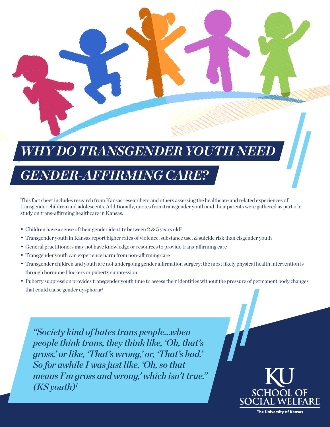# *WHY DO TRANSGENDER YOUTH NEED*

## *GENDER-AFFIRMING CARE?*

This fact sheet includes research from Kansas researchers and others assessing the healthcare and related experiences of transgender children and adolescents. Additionally, quotes from transgender youth and their parents were gathered as part of a study on trans-affirming healthcare in Kansas.

- Children have a sense of their gender identity between 2 & 5 years old<sup>2</sup>
- Transgender youth in Kansas report higher rates of violence, substance use, & suicide risk than cisgender youth
- General practitioners may not have knowledge or resources to provide trans-affirming care
- Transgender youth can experience harm from non-affirming care
- Transgender children and youth are not undergoing gender affirmation surgery; the most likely physical health intervention is through hormone blockers or puberty suppression
- Puberty suppression provides transgender youth time to assess their identities without the pressure of permanent body changes that could cause gender dysphoria<sup>3</sup>

*"Society kind of hates trans people…when people think trans, they think like, 'Oh, that's gross,' or like, 'That's wrong,' or, 'That's bad.' So for awhile I was just like, 'Oh, so that means I'm gross and wrong,' which isn't true." (KS youth)1*



**The University of Kansas**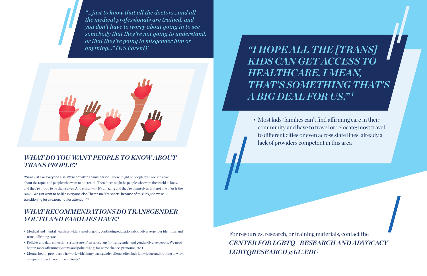### *WHAT DO YOU WANT PEOPLE TO KNOW ABOUT TRANS PEOPLE?*

"We're just like everyone else. We're not all the same person. There might be people who are sensitive about the topic, and people who want to be stealth. Then there might be people who want the world to know and they're proud to be themselves. And either way, it's amazing and they're themselves. But not one of us is the same...We just want to be like everyone else. There's no, "I'm special because of this." It's just, we're transitioning for a reason, not for attention." 1

#### *WHAT RECOMMENDATIONS DO TRANSGENDER YOUTH AND FAMILIES HAVE?*

- Medical and mental health providers need ongoing continuing education about diverse gender identities and trans-affirming care
- Policies and data collection systems are often not set up for transgender and gender diverse people. We need better, more affirming systems and policies (e.g. for name change, pronouns, etc.).
- Mental health providers who work with binary transgender clients often lack knowledge and training to work competently with nonbinary clients.4

*"…just to know that all the doctors…and all the medical professionals are trained, and you don't have to worry about going in to see somebody that they're not going to understand, or that they're going to misgender him or anything…" (KS Parent)1*



• Most kids/families can't find affirming care in their community and have to travel or relocate; most travel to different cities or even across state lines; already a

lack of providers competent in this area

*"I HOPE ALL THE [TRANS] KIDS CAN GET ACCESS TO HEALTHCARE. I MEAN, A BIG DEAL FOR US." 1*

# *THAT'S SOMETHING THAT'S*

For resources, research, or training materials, contact the *CENTER FOR LGBTQ+ RESEARCH AND ADVOCACY LGBTQRESEARCH@KU.EDU*